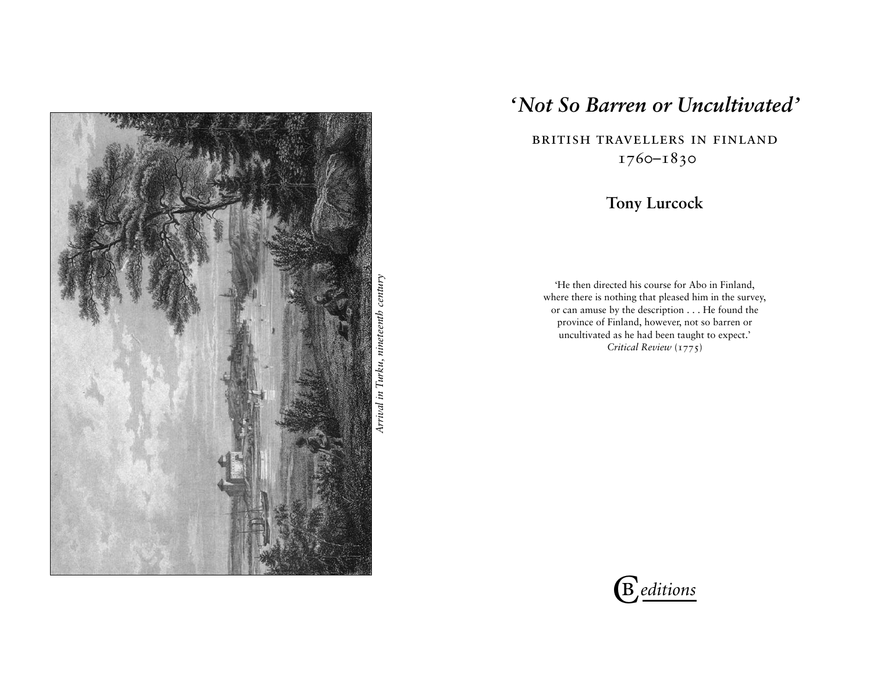

Arrival in Turku, nineteenth century *Arrival in Turku, nineteenth century*

# *'Not So Barren or Uncultivated'*

british travellers in finland 1760–1830

# **Tony Lurcock**

'He then directed his course for Abo in Finland, where there is nothing that pleased him in the survey, or can amuse by the description . . . He found the province of Finland, however, not so barren or uncultivated as he had been taught to expect.' *Critical Review* (1775)

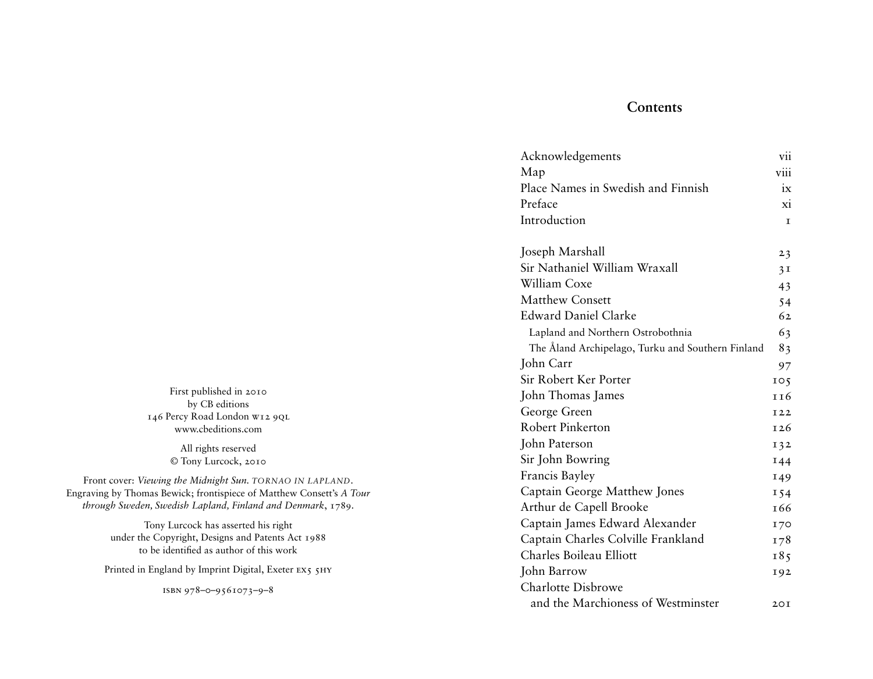# **Contents**

| Acknowledgements                                  | vii            |
|---------------------------------------------------|----------------|
| Map                                               | viii           |
| Place Names in Swedish and Finnish                | ix             |
| Preface                                           | X1             |
| Introduction                                      | T.             |
| Joseph Marshall                                   | 23             |
| Sir Nathaniel William Wraxall                     | 3 <sub>1</sub> |
| William Coxe                                      | 43             |
| <b>Matthew Consett</b>                            | 54             |
| Edward Daniel Clarke                              | 62             |
| Lapland and Northern Ostrobothnia                 | 63             |
| The Åland Archipelago, Turku and Southern Finland | 83             |
| John Carr                                         | 97             |
| Sir Robert Ker Porter                             | 105            |
| John Thomas James                                 | 116            |
| George Green                                      | I22            |
| <b>Robert Pinkerton</b>                           | 126            |
| John Paterson                                     | 132            |
| Sir John Bowring                                  | I44            |
| Francis Bayley                                    | 149            |
| Captain George Matthew Jones                      | I54            |
| Arthur de Capell Brooke                           | 166            |
| Captain James Edward Alexander                    | 170            |
| Captain Charles Colville Frankland                | 178            |
| Charles Boileau Elliott                           | 185            |
| John Barrow                                       | 192            |
| <b>Charlotte Disbrowe</b>                         |                |
| and the Marchioness of Westminster                | 20I            |

First published in 2010 by CB editions 146 Percy Road London w12 9ql www.cbeditions.com

> All rights reserved © Tony Lurcock, 2010

Front cover: *Viewing the Midnight Sun. TORNAO IN LAPLAND*. Engraving by Thomas Bewick; frontispiece of Matthew Consett's *A Tour through Sweden, Swedish Lapland, Finland and Denmark*, 1789.

> Tony Lurcock has asserted his right under the Copyright, Designs and Patents Act 1988 to be identified as author of this work

Printed in England by Imprint Digital, Exeter EX5 5HY

isbn 978–0–9561073–9–8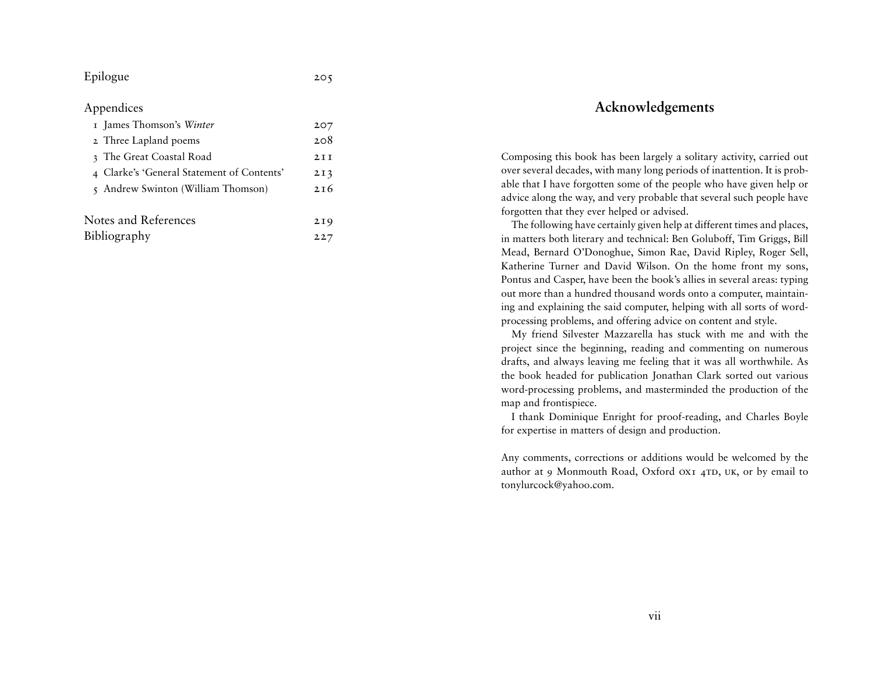# **Acknowledgements**

Composing this book has been largely a solitary activity, carried out over several decades, with many long periods of inattention. It is probable that I have forgotten some of the people who have given help or advice along the way, and very probable that several such people have forgotten that they ever helped or advised.

The following have certainly given help at different times and places, in matters both literary and technical: Ben Goluboff, Tim Griggs, Bill Mead, Bernard O'Donoghue, Simon Rae, David Ripley, Roger Sell, Katherine Turner and David Wilson. On the home front my sons, Pontus and Casper, have been the book's allies in several areas: typing out more than a hundred thousand words onto a computer, maintaining and explaining the said computer, helping with all sorts of wordprocessing problems, and offering advice on content and style.

My friend Silvester Mazzarella has stuck with me and with the project since the beginning, reading and commenting on numerous drafts, and always leaving me feeling that it was all worthwhile. As the book headed for publication Jonathan Clark sorted out various word-processing problems, and masterminded the production of the map and frontispiece.

I thank Dominique Enright for proof-reading, and Charles Boyle for expertise in matters of design and production.

Any comments, corrections or additions would be welcomed by the author at 9 Monmouth Road, Oxford OX1 4TD, UK, or by email to tonylurcock@yahoo.com.

## Epilogue

#### Appendices

| I James Thomson's Winter                   | 207             |
|--------------------------------------------|-----------------|
| 2 Three Lapland poems                      | 208             |
| 3 The Great Coastal Road                   | 2T              |
| 4 Clarke's 'General Statement of Contents' | 2I3             |
| 5 Andrew Swinton (William Thomson)         | 2T <sub>6</sub> |
|                                            |                 |
| Notes and References                       | 2I9             |
| Bibliography                               | 227             |

205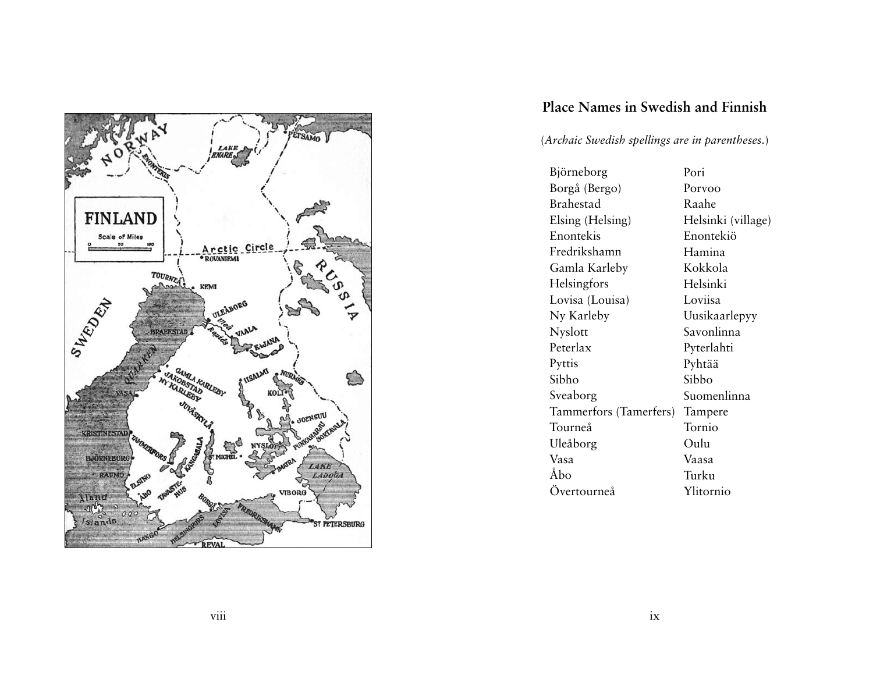

# **Place Names in Swedish and Finnish**

(*Archaic Swedish spellings are in parentheses.*)

| Björneborg             | Pori               |
|------------------------|--------------------|
| Borgå (Bergo)          | Porvoo             |
| Brahestad              | Raahe              |
| Elsing (Helsing)       | Helsinki (village) |
| Enontekis              | Enontekiö          |
| Fredrikshamn           | Hamina             |
| Gamla Karleby          | Kokkola            |
| Helsingfors            | Helsinki           |
| Lovisa (Louisa)        | Loviisa            |
| Ny Karleby             | Uusikaarlepyy      |
| Nyslott                | Savonlinna         |
| Peterlax               | Pyterlahti         |
| Pyttis                 | Pyhtää             |
| Sibho                  | Sibbo              |
| Sveaborg               | Suomenlinna        |
| Tammerfors (Tamerfers) | Tampere            |
| Tourneå                | Tornio             |
| Uleåborg               | Oulu               |
| Vasa                   | Vaasa              |
| Ăbo                    | Turku              |
| Övertourneå            | Ylitornio          |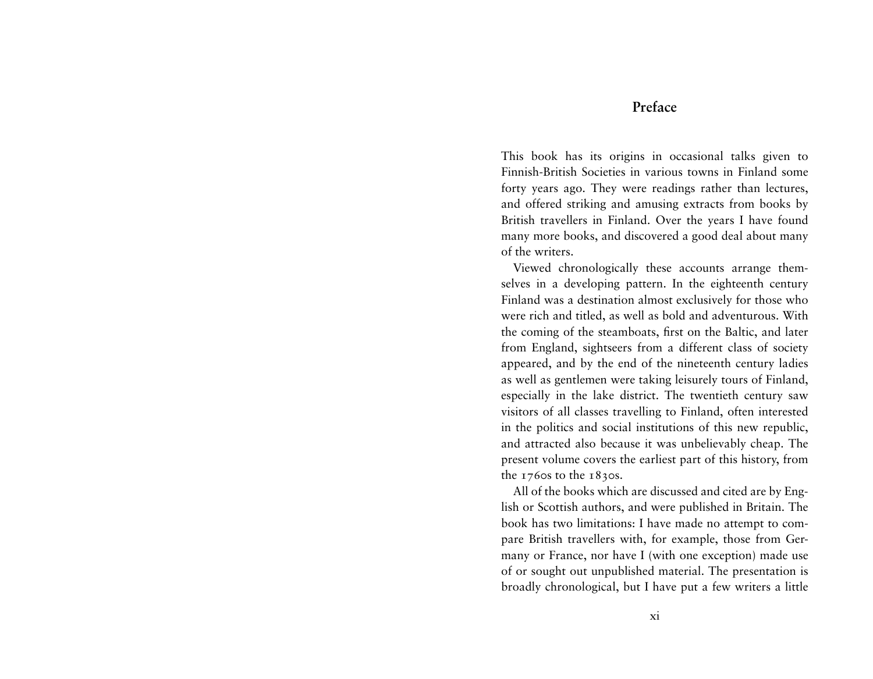# **Preface**

This book has its origins in occasional talks given to Finnish-British Societies in various towns in Finland some forty years ago. They were readings rather than lectures, and offered striking and amusing extracts from books by British travellers in Finland. Over the years I have found many more books, and discovered a good deal about many of the writers.

Viewed chronologically these accounts arrange themselves in a developing pattern. In the eighteenth century Finland was a destination almost exclusively for those who were rich and titled, as well as bold and adventurous. With the coming of the steamboats, first on the Baltic, and later from England, sightseers from a different class of society appeared, and by the end of the nineteenth century ladies as well as gentlemen were taking leisurely tours of Finland, especially in the lake district. The twentieth century saw visitors of all classes travelling to Finland, often interested in the politics and social institutions of this new republic, and attracted also because it was unbelievably cheap. The present volume covers the earliest part of this history, from the  $1760s$  to the  $1830s$ .

All of the books which are discussed and cited are by English or Scottish authors, and were published in Britain. The book has two limitations: I have made no attempt to compare British travellers with, for example, those from Germany or France, nor have I (with one exception) made use of or sought out unpublished material. The presentation is broadly chronological, but I have put a few writers a little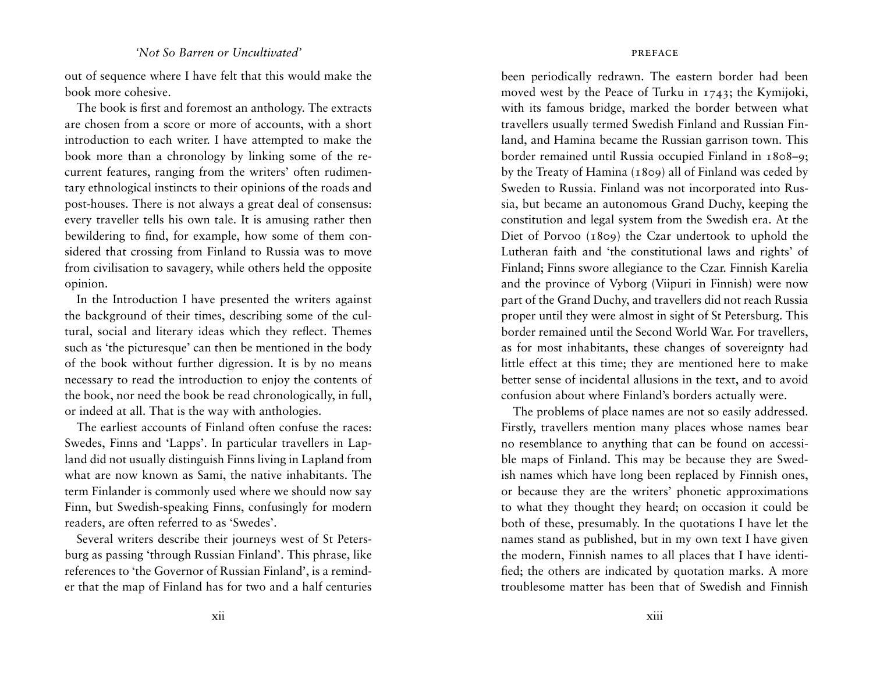#### *Not So Barren or Uncultivated'* present the set of the set of the set of the set of the set of the set of the set of the set of the set of the set of the set of the set of the set of the set of the set of the set of the s

out of sequence where I have felt that this would make the book more cohesive.

The book is first and foremost an anthology. The extracts are chosen from a score or more of accounts, with a short introduction to each writer. I have attempted to make the book more than a chronology by linking some of the recurrent features, ranging from the writers' often rudimentary ethnological instincts to their opinions of the roads and post-houses. There is not always a great deal of consensus: every traveller tells his own tale. It is amusing rather then bewildering to find, for example, how some of them considered that crossing from Finland to Russia was to move from civilisation to savagery, while others held the opposite opinion.

In the Introduction I have presented the writers against the background of their times, describing some of the cultural, social and literary ideas which they reflect. Themes such as 'the picturesque' can then be mentioned in the body of the book without further digression. It is by no means necessary to read the introduction to enjoy the contents of the book, nor need the book be read chronologically, in full, or indeed at all. That is the way with anthologies.

The earliest accounts of Finland often confuse the races: Swedes, Finns and 'Lapps'. In particular travellers in Lapland did not usually distinguish Finns living in Lapland from what are now known as Sami, the native inhabitants. The term Finlander is commonly used where we should now say Finn, but Swedish-speaking Finns, confusingly for modern readers, are often referred to as 'Swedes'.

Several writers describe their journeys west of St Petersburg as passing 'through Russian Finland'. This phrase, like references to 'the Governor of Russian Finland', is a reminder that the map of Finland has for two and a half centuries

been periodically redrawn. The eastern border had been moved west by the Peace of Turku in 1743; the Kymijoki, with its famous bridge, marked the border between what travellers usually termed Swedish Finland and Russian Finland, and Hamina became the Russian garrison town. This border remained until Russia occupied Finland in 1808–9; by the Treaty of Hamina (1809) all of Finland was ceded by Sweden to Russia. Finland was not incorporated into Russia, but became an autonomous Grand Duchy, keeping the constitution and legal system from the Swedish era. At the Diet of Porvoo (1809) the Czar undertook to uphold the Lutheran faith and 'the constitutional laws and rights' of Finland; Finns swore allegiance to the Czar. Finnish Karelia and the province of Vyborg (Viipuri in Finnish) were now part of the Grand Duchy, and travellers did not reach Russia proper until they were almost in sight of St Petersburg. This border remained until the Second World War. For travellers, as for most inhabitants, these changes of sovereignty had little effect at this time; they are mentioned here to make better sense of incidental allusions in the text, and to avoid confusion about where Finland's borders actually were.

The problems of place names are not so easily addressed. Firstly, travellers mention many places whose names bear no resemblance to anything that can be found on accessible maps of Finland. This may be because they are Swedish names which have long been replaced by Finnish ones, or because they are the writers' phonetic approximations to what they thought they heard; on occasion it could be both of these, presumably. In the quotations I have let the names stand as published, but in my own text I have given the modern, Finnish names to all places that I have identified; the others are indicated by quotation marks. A more troublesome matter has been that of Swedish and Finnish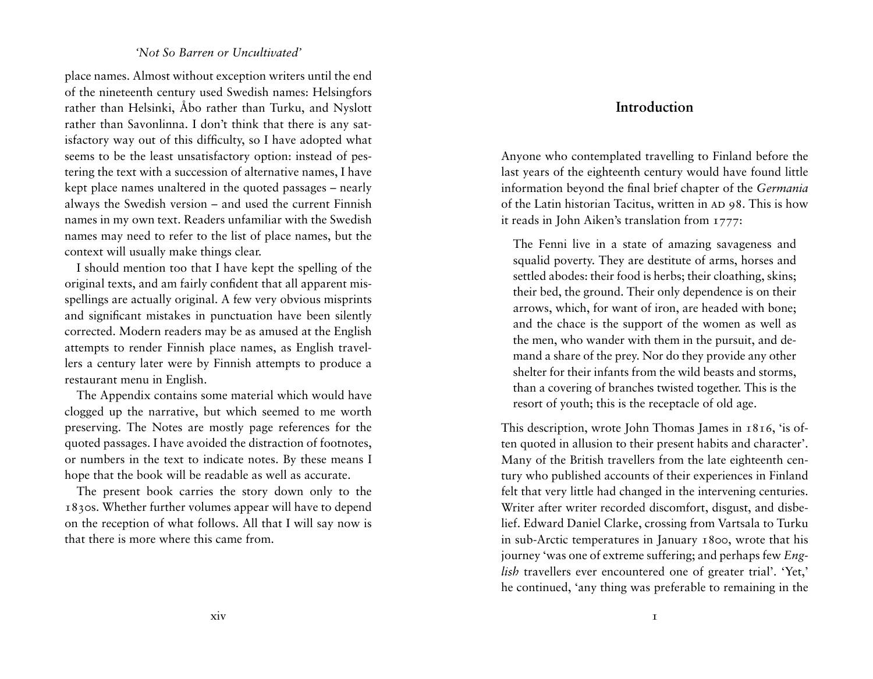# *'Not So Barren or Uncultivated'*

place names. Almost without exception writers until the end of the nineteenth century used Swedish names: Helsingfors rather than Helsinki, Åbo rather than Turku, and Nyslott rather than Savonlinna. I don't think that there is any satisfactory way out of this difficulty, so I have adopted what seems to be the least unsatisfactory option: instead of pestering the text with a succession of alternative names, I have kept place names unaltered in the quoted passages – nearly always the Swedish version – and used the current Finnish names in my own text. Readers unfamiliar with the Swedish names may need to refer to the list of place names, but the context will usually make things clear.

I should mention too that I have kept the spelling of the original texts, and am fairly confident that all apparent misspellings are actually original. A few very obvious misprints and significant mistakes in punctuation have been silently corrected. Modern readers may be as amused at the English attempts to render Finnish place names, as English travellers a century later were by Finnish attempts to produce a restaurant menu in English.

The Appendix contains some material which would have clogged up the narrative, but which seemed to me worth preserving. The Notes are mostly page references for the quoted passages. I have avoided the distraction of footnotes, or numbers in the text to indicate notes. By these means I hope that the book will be readable as well as accurate.

The present book carries the story down only to the 1830s. Whether further volumes appear will have to depend on the reception of what follows. All that I will say now is that there is more where this came from.

# **Introduction**

Anyone who contemplated travelling to Finland before the last years of the eighteenth century would have found little information beyond the final brief chapter of the *Germania* of the Latin historian Tacitus, written in AD 98. This is how it reads in John Aiken's translation from 1777:

The Fenni live in a state of amazing savageness and squalid poverty. They are destitute of arms, horses and settled abodes: their food is herbs; their cloathing, skins; their bed, the ground. Their only dependence is on their arrows, which, for want of iron, are headed with bone; and the chace is the support of the women as well as the men, who wander with them in the pursuit, and demand a share of the prey. Nor do they provide any other shelter for their infants from the wild beasts and storms, than a covering of branches twisted together. This is the resort of youth; this is the receptacle of old age.

This description, wrote John Thomas James in 1816, 'is often quoted in allusion to their present habits and character'. Many of the British travellers from the late eighteenth century who published accounts of their experiences in Finland felt that very little had changed in the intervening centuries. Writer after writer recorded discomfort, disgust, and disbelief. Edward Daniel Clarke, crossing from Vartsala to Turku in sub-Arctic temperatures in January 1800, wrote that his journey 'was one of extreme suffering; and perhaps few *English* travellers ever encountered one of greater trial'. 'Yet,' he continued, 'any thing was preferable to remaining in the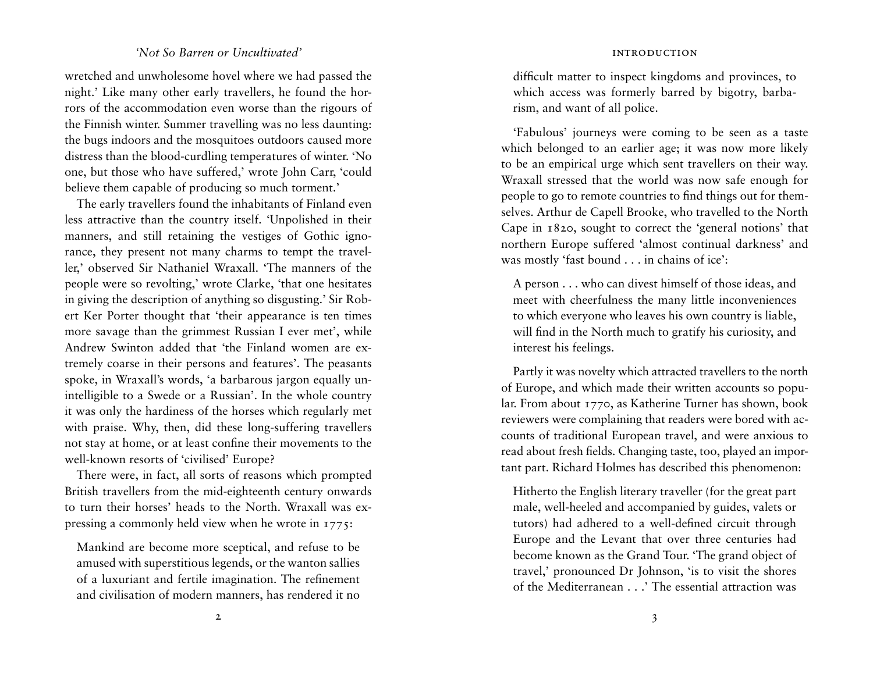#### *'Not So Barren or Uncultivated'*

wretched and unwholesome hovel where we had passed the night.' Like many other early travellers, he found the horrors of the accommodation even worse than the rigours of the Finnish winter. Summer travelling was no less daunting: the bugs indoors and the mosquitoes outdoors caused more distress than the blood-curdling temperatures of winter. 'No one, but those who have suffered,' wrote John Carr, 'could believe them capable of producing so much torment.'

The early travellers found the inhabitants of Finland even less attractive than the country itself. 'Unpolished in their manners, and still retaining the vestiges of Gothic ignorance, they present not many charms to tempt the traveller,' observed Sir Nathaniel Wraxall. 'The manners of the people were so revolting,' wrote Clarke, 'that one hesitates in giving the description of anything so disgusting.' Sir Robert Ker Porter thought that 'their appearance is ten times more savage than the grimmest Russian I ever met', while Andrew Swinton added that 'the Finland women are extremely coarse in their persons and features'. The peasants spoke, in Wraxall's words, 'a barbarous jargon equally unintelligible to a Swede or a Russian'. In the whole country it was only the hardiness of the horses which regularly met with praise. Why, then, did these long-suffering travellers not stay at home, or at least confine their movements to the well-known resorts of 'civilised' Europe?

There were, in fact, all sorts of reasons which prompted British travellers from the mid-eighteenth century onwards to turn their horses' heads to the North. Wraxall was expressing a commonly held view when he wrote in 1775:

Mankind are become more sceptical, and refuse to be amused with superstitious legends, or the wanton sallies of a luxuriant and fertile imagination. The refinement and civilisation of modern manners, has rendered it no difficult matter to inspect kingdoms and provinces, to which access was formerly barred by bigotry, barbarism, and want of all police.

'Fabulous' journeys were coming to be seen as a taste which belonged to an earlier age; it was now more likely to be an empirical urge which sent travellers on their way. Wraxall stressed that the world was now safe enough for people to go to remote countries to find things out for themselves. Arthur de Capell Brooke, who travelled to the North Cape in 1820, sought to correct the 'general notions' that northern Europe suffered 'almost continual darkness' and was mostly 'fast bound . . . in chains of ice':

A person . . . who can divest himself of those ideas, and meet with cheerfulness the many little inconveniences to which everyone who leaves his own country is liable, will find in the North much to gratify his curiosity, and interest his feelings.

Partly it was novelty which attracted travellers to the north of Europe, and which made their written accounts so popular. From about 1770, as Katherine Turner has shown, book reviewers were complaining that readers were bored with accounts of traditional European travel, and were anxious to read about fresh fields. Changing taste, too, played an important part. Richard Holmes has described this phenomenon:

Hitherto the English literary traveller (for the great part male, well-heeled and accompanied by guides, valets or tutors) had adhered to a well-defined circuit through Europe and the Levant that over three centuries had become known as the Grand Tour. 'The grand object of travel,' pronounced Dr Johnson, 'is to visit the shores of the Mediterranean . . .' The essential attraction was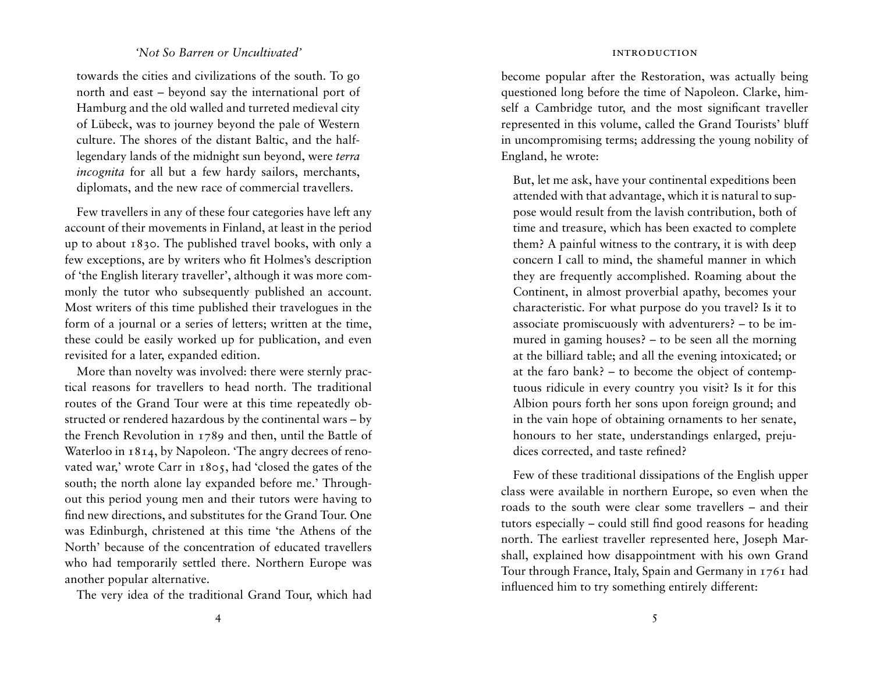#### *'Not So Barren or Uncultivated'*

towards the cities and civilizations of the south. To go north and east – beyond say the international port of Hamburg and the old walled and turreted medieval city of Lübeck, was to journey beyond the pale of Western culture. The shores of the distant Baltic, and the halflegendary lands of the midnight sun beyond, were *terra incognita* for all but a few hardy sailors, merchants, diplomats, and the new race of commercial travellers.

Few travellers in any of these four categories have left any account of their movements in Finland, at least in the period up to about 1830. The published travel books, with only a few exceptions, are by writers who fit Holmes's description of 'the English literary traveller', although it was more commonly the tutor who subsequently published an account. Most writers of this time published their travelogues in the form of a journal or a series of letters; written at the time, these could be easily worked up for publication, and even revisited for a later, expanded edition.

More than novelty was involved: there were sternly practical reasons for travellers to head north. The traditional routes of the Grand Tour were at this time repeatedly obstructed or rendered hazardous by the continental wars – by the French Revolution in 1789 and then, until the Battle of Waterloo in 1814, by Napoleon. The angry decrees of renovated war,' wrote Carr in 1805, had 'closed the gates of the south; the north alone lay expanded before me.' Throughout this period young men and their tutors were having to find new directions, and substitutes for the Grand Tour. One was Edinburgh, christened at this time 'the Athens of the North' because of the concentration of educated travellers who had temporarily settled there. Northern Europe was another popular alternative.

The very idea of the traditional Grand Tour, which had

#### introduction

become popular after the Restoration, was actually being questioned long before the time of Napoleon. Clarke, himself a Cambridge tutor, and the most significant traveller represented in this volume, called the Grand Tourists' bluff in uncompromising terms; addressing the young nobility of England, he wrote:

But, let me ask, have your continental expeditions been attended with that advantage, which it is natural to suppose would result from the lavish contribution, both of time and treasure, which has been exacted to complete them? A painful witness to the contrary, it is with deep concern I call to mind, the shameful manner in which they are frequently accomplished. Roaming about the Continent, in almost proverbial apathy, becomes your characteristic. For what purpose do you travel? Is it to associate promiscuously with adventurers? – to be immured in gaming houses? – to be seen all the morning at the billiard table; and all the evening intoxicated; or at the faro bank? – to become the object of contemptuous ridicule in every country you visit? Is it for this Albion pours forth her sons upon foreign ground; and in the vain hope of obtaining ornaments to her senate, honours to her state, understandings enlarged, prejudices corrected, and taste refined?

Few of these traditional dissipations of the English upper class were available in northern Europe, so even when the roads to the south were clear some travellers – and their tutors especially – could still find good reasons for heading north. The earliest traveller represented here, Joseph Marshall, explained how disappointment with his own Grand Tour through France, Italy, Spain and Germany in 1761 had influenced him to try something entirely different: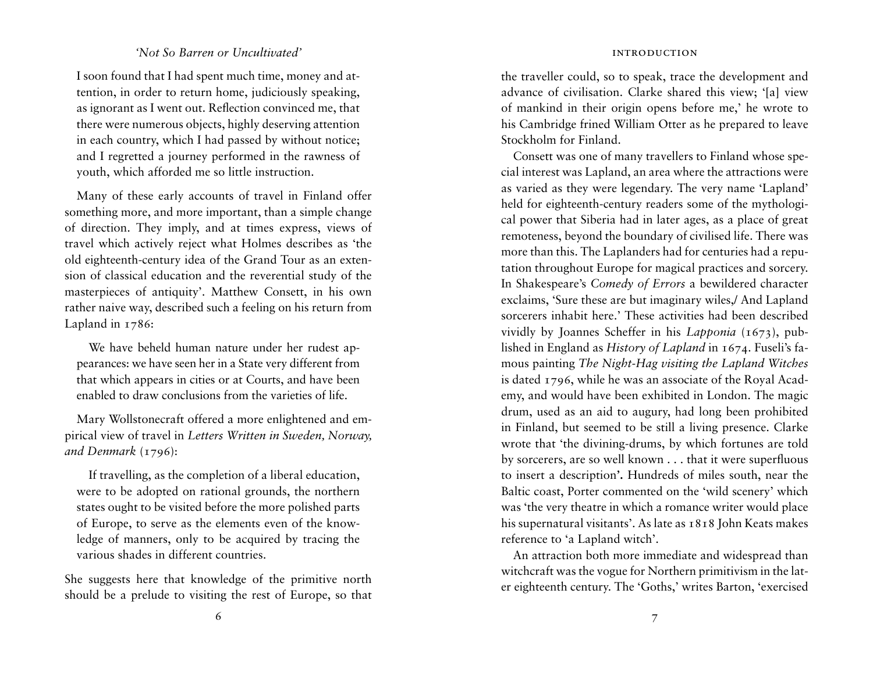## *'Not So Barren or Uncultivated'*

I soon found that I had spent much time, money and attention, in order to return home, judiciously speaking, as ignorant as I went out. Reflection convinced me, that there were numerous objects, highly deserving attention in each country, which I had passed by without notice; and I regretted a journey performed in the rawness of youth, which afforded me so little instruction.

Many of these early accounts of travel in Finland offer something more, and more important, than a simple change of direction. They imply, and at times express, views of travel which actively reject what Holmes describes as 'the old eighteenth-century idea of the Grand Tour as an extension of classical education and the reverential study of the masterpieces of antiquity'. Matthew Consett, in his own rather naive way, described such a feeling on his return from Lapland in 1786:

We have beheld human nature under her rudest appearances: we have seen her in a State very different from that which appears in cities or at Courts, and have been enabled to draw conclusions from the varieties of life.

Mary Wollstonecraft offered a more enlightened and empirical view of travel in *Letters Written in Sweden, Norway,*  and Denmark (1796):

If travelling, as the completion of a liberal education, were to be adopted on rational grounds, the northern states ought to be visited before the more polished parts of Europe, to serve as the elements even of the knowledge of manners, only to be acquired by tracing the various shades in different countries.

She suggests here that knowledge of the primitive north should be a prelude to visiting the rest of Europe, so that the traveller could, so to speak, trace the development and advance of civilisation. Clarke shared this view; '[a] view of mankind in their origin opens before me,' he wrote to his Cambridge frined William Otter as he prepared to leave Stockholm for Finland.

Consett was one of many travellers to Finland whose special interest was Lapland, an area where the attractions were as varied as they were legendary. The very name 'Lapland' held for eighteenth-century readers some of the mythological power that Siberia had in later ages, as a place of great remoteness, beyond the boundary of civilised life. There was more than this. The Laplanders had for centuries had a reputation throughout Europe for magical practices and sorcery. In Shakespeare's *Comedy of Errors* a bewildered character exclaims, 'Sure these are but imaginary wiles,/ And Lapland sorcerers inhabit here.' These activities had been described vividly by Joannes Scheffer in his *Lapponia* (1673), published in England as *History of Lapland* in 1674. Fuseli's famous painting *The Night-Hag visiting the Lapland Witches* is dated 1796, while he was an associate of the Royal Academy, and would have been exhibited in London. The magic drum, used as an aid to augury, had long been prohibited in Finland, but seemed to be still a living presence. Clarke wrote that 'the divining-drums, by which fortunes are told by sorcerers, are so well known . . . that it were superfluous to insert a description**'.** Hundreds of miles south, near the Baltic coast, Porter commented on the 'wild scenery' which was 'the very theatre in which a romance writer would place his supernatural visitants'. As late as 1818 John Keats makes reference to 'a Lapland witch'.

An attraction both more immediate and widespread than witchcraft was the vogue for Northern primitivism in the later eighteenth century. The 'Goths,' writes Barton, 'exercised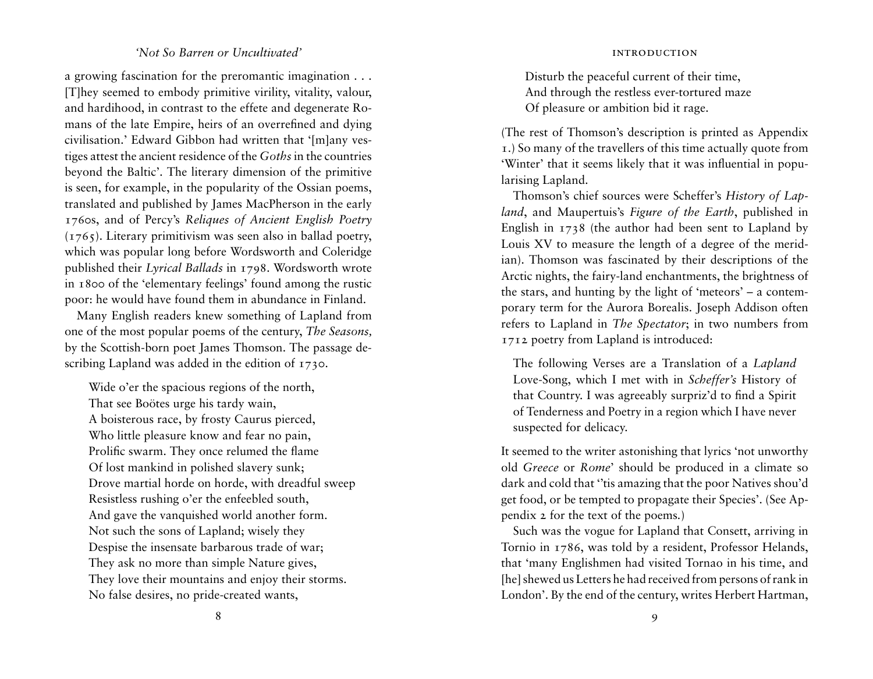# *'Not So Barren or Uncultivated'*

a growing fascination for the preromantic imagination . . . [T]hey seemed to embody primitive virility, vitality, valour, and hardihood, in contrast to the effete and degenerate Romans of the late Empire, heirs of an overrefined and dying civilisation.' Edward Gibbon had written that '[m]any vestiges attest the ancient residence of the *Goths* in the countries beyond the Baltic'. The literary dimension of the primitive is seen, for example, in the popularity of the Ossian poems, translated and published by James MacPherson in the early 1760s, and of Percy's *Reliques of Ancient English Poetry*   $(1765)$ . Literary primitivism was seen also in ballad poetry, which was popular long before Wordsworth and Coleridge published their *Lyrical Ballads* in 1798. Wordsworth wrote in 1800 of the 'elementary feelings' found among the rustic poor: he would have found them in abundance in Finland.

Many English readers knew something of Lapland from one of the most popular poems of the century, *The Seasons,*  by the Scottish-born poet James Thomson. The passage describing Lapland was added in the edition of 1730.

Wide o'er the spacious regions of the north, That see Boötes urge his tardy wain, A boisterous race, by frosty Caurus pierced, Who little pleasure know and fear no pain, Prolific swarm. They once relumed the flame Of lost mankind in polished slavery sunk; Drove martial horde on horde, with dreadful sweep Resistless rushing o'er the enfeebled south, And gave the vanquished world another form. Not such the sons of Lapland; wisely they Despise the insensate barbarous trade of war; They ask no more than simple Nature gives, They love their mountains and enjoy their storms. No false desires, no pride-created wants,

Disturb the peaceful current of their time, And through the restless ever-tortured maze Of pleasure or ambition bid it rage.

(The rest of Thomson's description is printed as Appendix 1.) So many of the travellers of this time actually quote from 'Winter' that it seems likely that it was influential in popularising Lapland.

Thomson's chief sources were Scheffer's *History of Lapland*, and Maupertuis's *Figure of the Earth*, published in English in 1738 (the author had been sent to Lapland by Louis XV to measure the length of a degree of the meridian). Thomson was fascinated by their descriptions of the Arctic nights, the fairy-land enchantments, the brightness of the stars, and hunting by the light of 'meteors' – a contemporary term for the Aurora Borealis. Joseph Addison often refers to Lapland in *The Spectator*; in two numbers from 1712 poetry from Lapland is introduced:

The following Verses are a Translation of a *Lapland* Love-Song, which I met with in *Scheffer's* History of that Country. I was agreeably surpriz'd to find a Spirit of Tenderness and Poetry in a region which I have never suspected for delicacy.

It seemed to the writer astonishing that lyrics 'not unworthy old *Greece* or *Rome*' should be produced in a climate so dark and cold that ''tis amazing that the poor Natives shou'd get food, or be tempted to propagate their Species'. (See Appendix 2 for the text of the poems*.*)

Such was the vogue for Lapland that Consett, arriving in Tornio in 1786, was told by a resident, Professor Helands, that 'many Englishmen had visited Tornao in his time, and [he] shewed us Letters he had received from persons of rank in London'. By the end of the century, writes Herbert Hartman,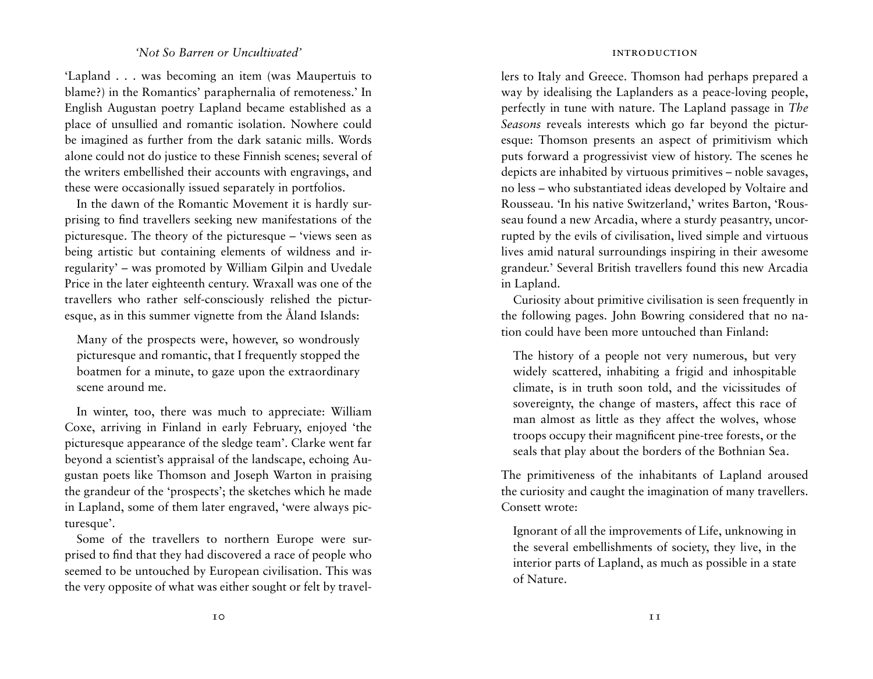## *'Not So Barren or Uncultivated'*

'Lapland . . . was becoming an item (was Maupertuis to blame?) in the Romantics' paraphernalia of remoteness.' In English Augustan poetry Lapland became established as a place of unsullied and romantic isolation. Nowhere could be imagined as further from the dark satanic mills. Words alone could not do justice to these Finnish scenes; several of the writers embellished their accounts with engravings, and these were occasionally issued separately in portfolios.

In the dawn of the Romantic Movement it is hardly surprising to find travellers seeking new manifestations of the picturesque. The theory of the picturesque – 'views seen as being artistic but containing elements of wildness and irregularity' – was promoted by William Gilpin and Uvedale Price in the later eighteenth century. Wraxall was one of the travellers who rather self-consciously relished the picturesque, as in this summer vignette from the Åland Islands:

Many of the prospects were, however, so wondrously picturesque and romantic, that I frequently stopped the boatmen for a minute, to gaze upon the extraordinary scene around me.

In winter, too, there was much to appreciate: William Coxe, arriving in Finland in early February, enjoyed 'the picturesque appearance of the sledge team'. Clarke went far beyond a scientist's appraisal of the landscape, echoing Augustan poets like Thomson and Joseph Warton in praising the grandeur of the 'prospects'; the sketches which he made in Lapland, some of them later engraved, 'were always picturesque'.

Some of the travellers to northern Europe were surprised to find that they had discovered a race of people who seemed to be untouched by European civilisation. This was the very opposite of what was either sought or felt by travel-

#### introduction

lers to Italy and Greece. Thomson had perhaps prepared a way by idealising the Laplanders as a peace-loving people, perfectly in tune with nature. The Lapland passage in *The Seasons* reveals interests which go far beyond the picturesque: Thomson presents an aspect of primitivism which puts forward a progressivist view of history. The scenes he depicts are inhabited by virtuous primitives – noble savages, no less – who substantiated ideas developed by Voltaire and Rousseau. 'In his native Switzerland,' writes Barton, 'Rousseau found a new Arcadia, where a sturdy peasantry, uncorrupted by the evils of civilisation, lived simple and virtuous lives amid natural surroundings inspiring in their awesome grandeur.' Several British travellers found this new Arcadia in Lapland.

Curiosity about primitive civilisation is seen frequently in the following pages. John Bowring considered that no nation could have been more untouched than Finland:

The history of a people not very numerous, but very widely scattered, inhabiting a frigid and inhospitable climate, is in truth soon told, and the vicissitudes of sovereignty, the change of masters, affect this race of man almost as little as they affect the wolves, whose troops occupy their magnificent pine-tree forests, or the seals that play about the borders of the Bothnian Sea.

The primitiveness of the inhabitants of Lapland aroused the curiosity and caught the imagination of many travellers. Consett wrote:

Ignorant of all the improvements of Life, unknowing in the several embellishments of society, they live, in the interior parts of Lapland, as much as possible in a state of Nature.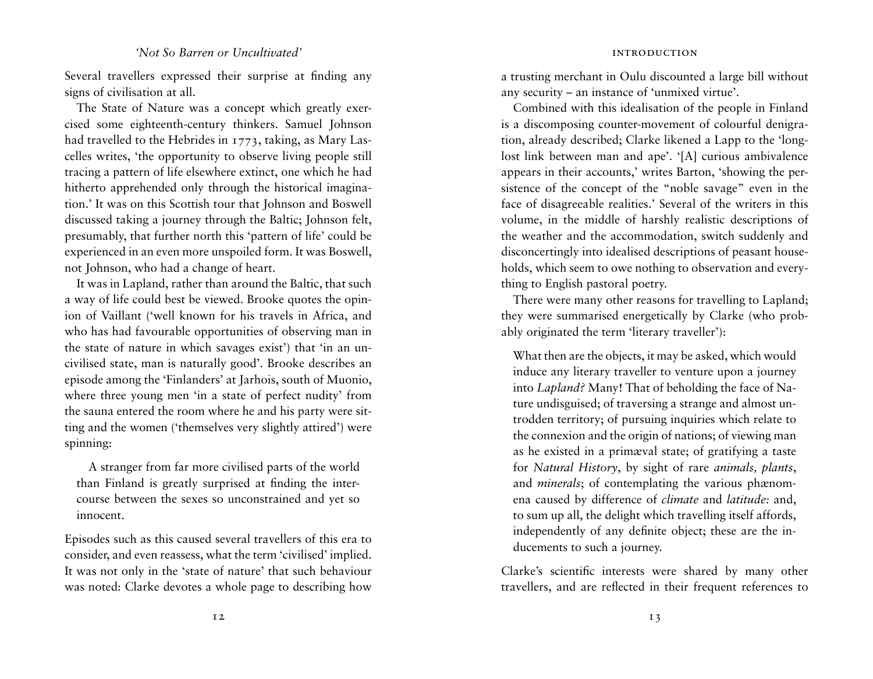# *'Not So Barren or Uncultivated'*

Several travellers expressed their surprise at finding any signs of civilisation at all.

The State of Nature was a concept which greatly exercised some eighteenth-century thinkers. Samuel Johnson had travelled to the Hebrides in 1773, taking, as Mary Lascelles writes, 'the opportunity to observe living people still tracing a pattern of life elsewhere extinct, one which he had hitherto apprehended only through the historical imagination.' It was on this Scottish tour that Johnson and Boswell discussed taking a journey through the Baltic; Johnson felt, presumably, that further north this 'pattern of life' could be experienced in an even more unspoiled form. It was Boswell, not Johnson, who had a change of heart.

It was in Lapland, rather than around the Baltic, that such a way of life could best be viewed. Brooke quotes the opinion of Vaillant ('well known for his travels in Africa, and who has had favourable opportunities of observing man in the state of nature in which savages exist') that 'in an uncivilised state, man is naturally good'. Brooke describes an episode among the 'Finlanders' at Jarhois, south of Muonio, where three young men 'in a state of perfect nudity' from the sauna entered the room where he and his party were sitting and the women ('themselves very slightly attired') were spinning:

A stranger from far more civilised parts of the world than Finland is greatly surprised at finding the intercourse between the sexes so unconstrained and yet so innocent.

Episodes such as this caused several travellers of this era to consider, and even reassess, what the term 'civilised' implied. It was not only in the 'state of nature' that such behaviour was noted: Clarke devotes a whole page to describing how a trusting merchant in Oulu discounted a large bill without any security – an instance of 'unmixed virtue'.

Combined with this idealisation of the people in Finland is a discomposing counter-movement of colourful denigration, already described; Clarke likened a Lapp to the 'longlost link between man and ape'. '[A] curious ambivalence appears in their accounts,' writes Barton, 'showing the persistence of the concept of the "noble savage" even in the face of disagreeable realities.' Several of the writers in this volume, in the middle of harshly realistic descriptions of the weather and the accommodation, switch suddenly and disconcertingly into idealised descriptions of peasant households, which seem to owe nothing to observation and everything to English pastoral poetry.

There were many other reasons for travelling to Lapland; they were summarised energetically by Clarke (who probably originated the term 'literary traveller'):

What then are the objects, it may be asked, which would induce any literary traveller to venture upon a journey into *Lapland?* Many! That of beholding the face of Nature undisguised; of traversing a strange and almost untrodden territory; of pursuing inquiries which relate to the connexion and the origin of nations; of viewing man as he existed in a primæval state; of gratifying a taste for *Natural History*, by sight of rare *animals, plants*, and *minerals*; of contemplating the various phænomena caused by difference of *climate* and *latitude:* and, to sum up all, the delight which travelling itself affords, independently of any definite object; these are the inducements to such a journey.

Clarke's scientific interests were shared by many other travellers, and are reflected in their frequent references to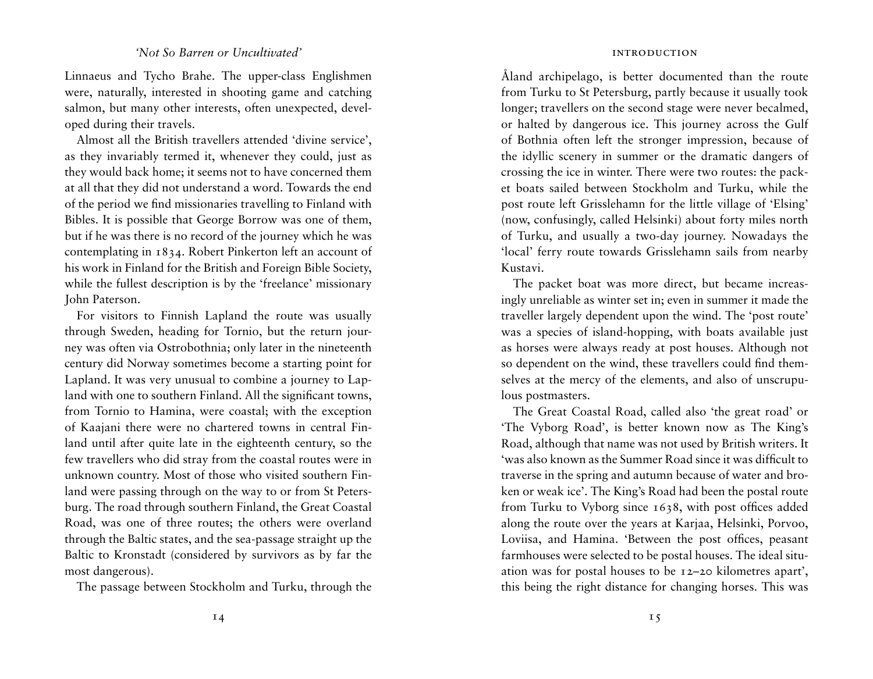#### *'Not So Barren or Uncultivated'*

Linnaeus and Tycho Brahe. The upper-class Englishmen were, naturally, interested in shooting game and catching salmon, but many other interests, often unexpected, developed during their travels.

Almost all the British travellers attended 'divine service', as they invariably termed it, whenever they could, just as they would back home; it seems not to have concerned them at all that they did not understand a word. Towards the end of the period we find missionaries travelling to Finland with Bibles. It is possible that George Borrow was one of them, but if he was there is no record of the journey which he was contemplating in 1834. Robert Pinkerton left an account of his work in Finland for the British and Foreign Bible Society, while the fullest description is by the 'freelance' missionary John Paterson.

For visitors to Finnish Lapland the route was usually through Sweden, heading for Tornio, but the return journey was often via Ostrobothnia; only later in the nineteenth century did Norway sometimes become a starting point for Lapland. It was very unusual to combine a journey to Lapland with one to southern Finland. All the significant towns, from Tornio to Hamina, were coastal; with the exception of Kaajani there were no chartered towns in central Finland until after quite late in the eighteenth century, so the few travellers who did stray from the coastal routes were in unknown country. Most of those who visited southern Finland were passing through on the way to or from St Petersburg. The road through southern Finland, the Great Coastal Road, was one of three routes; the others were overland through the Baltic states, and the sea-passage straight up the Baltic to Kronstadt (considered by survivors as by far the most dangerous).

The passage between Stockholm and Turku, through the

Åland archipelago, is better documented than the route from Turku to St Petersburg, partly because it usually took longer; travellers on the second stage were never becalmed, or halted by dangerous ice. This journey across the Gulf of Bothnia often left the stronger impression, because of the idyllic scenery in summer or the dramatic dangers of crossing the ice in winter. There were two routes: the packet boats sailed between Stockholm and Turku, while the post route left Grisslehamn for the little village of 'Elsing' (now, confusingly, called Helsinki) about forty miles north of Turku, and usually a two-day journey. Nowadays the 'local' ferry route towards Grisslehamn sails from nearby Kustavi.

The packet boat was more direct, but became increasingly unreliable as winter set in; even in summer it made the traveller largely dependent upon the wind. The 'post route' was a species of island-hopping, with boats available just as horses were always ready at post houses. Although not so dependent on the wind, these travellers could find themselves at the mercy of the elements, and also of unscrupulous postmasters.

The Great Coastal Road, called also 'the great road' or 'The Vyborg Road', is better known now as The King's Road, although that name was not used by British writers. It 'was also known as the Summer Road since it was difficult to traverse in the spring and autumn because of water and broken or weak ice'. The King's Road had been the postal route from Turku to Vyborg since 1638, with post offices added along the route over the years at Karjaa, Helsinki, Porvoo, Loviisa, and Hamina. 'Between the post offices, peasant farmhouses were selected to be postal houses. The ideal situation was for postal houses to be 12–20 kilometres apart', this being the right distance for changing horses. This was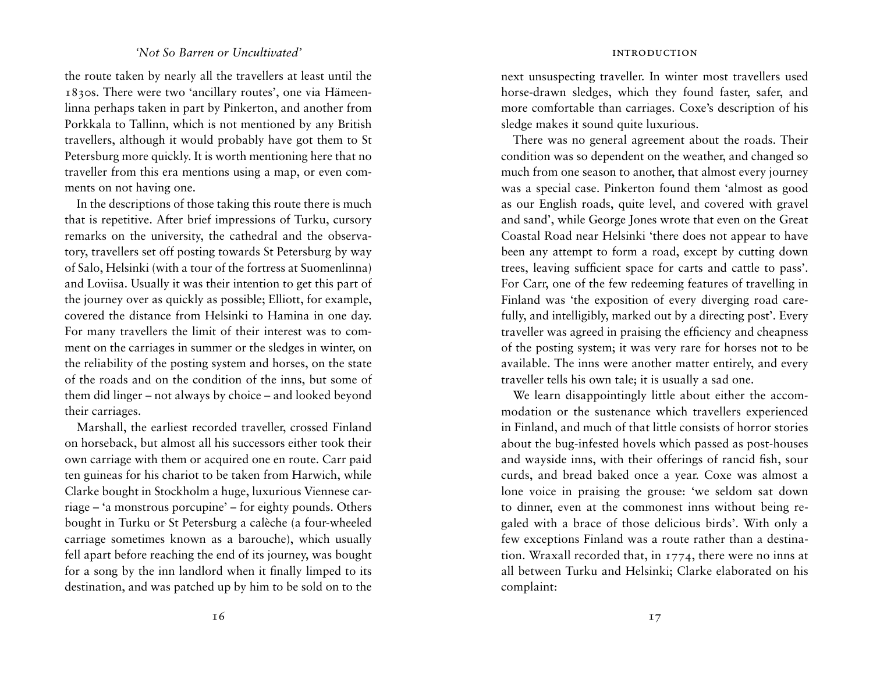# *'Not So Barren or Uncultivated'*

the route taken by nearly all the travellers at least until the 1830s. There were two 'ancillary routes', one via Hämeenlinna perhaps taken in part by Pinkerton, and another from Porkkala to Tallinn, which is not mentioned by any British travellers, although it would probably have got them to St Petersburg more quickly. It is worth mentioning here that no traveller from this era mentions using a map, or even comments on not having one.

In the descriptions of those taking this route there is much that is repetitive. After brief impressions of Turku, cursory remarks on the university, the cathedral and the observatory, travellers set off posting towards St Petersburg by way of Salo, Helsinki (with a tour of the fortress at Suomenlinna) and Loviisa. Usually it was their intention to get this part of the journey over as quickly as possible; Elliott, for example, covered the distance from Helsinki to Hamina in one day. For many travellers the limit of their interest was to comment on the carriages in summer or the sledges in winter, on the reliability of the posting system and horses, on the state of the roads and on the condition of the inns, but some of them did linger – not always by choice – and looked beyond their carriages.

Marshall, the earliest recorded traveller, crossed Finland on horseback, but almost all his successors either took their own carriage with them or acquired one en route. Carr paid ten guineas for his chariot to be taken from Harwich, while Clarke bought in Stockholm a huge, luxurious Viennese carriage – 'a monstrous porcupine' – for eighty pounds. Others bought in Turku or St Petersburg a calèche (a four-wheeled carriage sometimes known as a barouche), which usually fell apart before reaching the end of its journey, was bought for a song by the inn landlord when it finally limped to its destination, and was patched up by him to be sold on to the next unsuspecting traveller. In winter most travellers used horse-drawn sledges, which they found faster, safer, and more comfortable than carriages. Coxe's description of his sledge makes it sound quite luxurious.

There was no general agreement about the roads. Their condition was so dependent on the weather, and changed so much from one season to another, that almost every journey was a special case. Pinkerton found them 'almost as good as our English roads, quite level, and covered with gravel and sand', while George Jones wrote that even on the Great Coastal Road near Helsinki 'there does not appear to have been any attempt to form a road, except by cutting down trees, leaving sufficient space for carts and cattle to pass'. For Carr, one of the few redeeming features of travelling in Finland was 'the exposition of every diverging road carefully, and intelligibly, marked out by a directing post'. Every traveller was agreed in praising the efficiency and cheapness of the posting system; it was very rare for horses not to be available. The inns were another matter entirely, and every traveller tells his own tale; it is usually a sad one.

We learn disappointingly little about either the accommodation or the sustenance which travellers experienced in Finland, and much of that little consists of horror stories about the bug-infested hovels which passed as post-houses and wayside inns, with their offerings of rancid fish, sour curds, and bread baked once a year. Coxe was almost a lone voice in praising the grouse: 'we seldom sat down to dinner, even at the commonest inns without being regaled with a brace of those delicious birds'. With only a few exceptions Finland was a route rather than a destination. Wraxall recorded that, in 1774, there were no inns at all between Turku and Helsinki; Clarke elaborated on his complaint: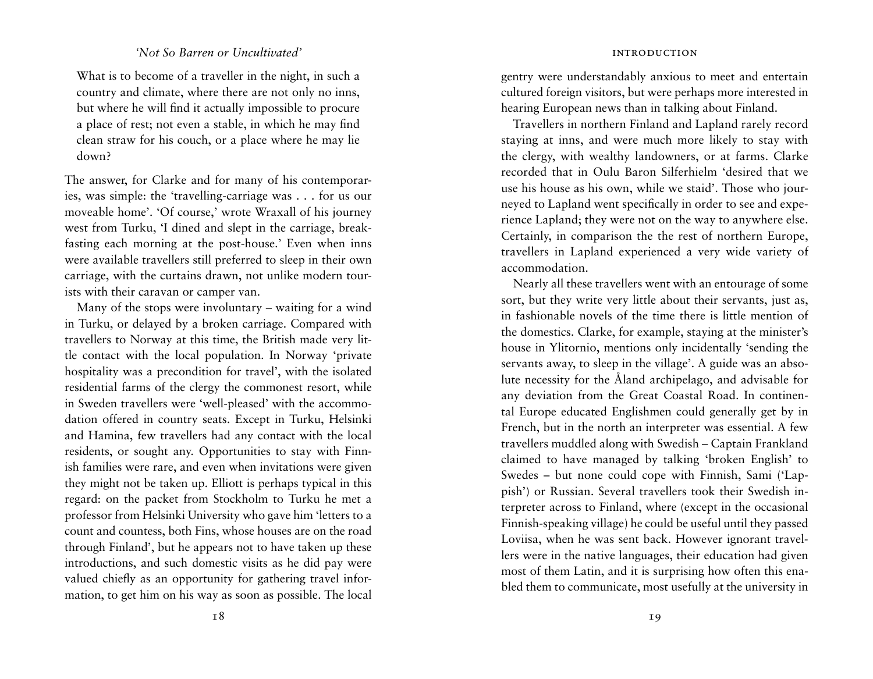# *'Not So Barren or Uncultivated'*

What is to become of a traveller in the night, in such a country and climate, where there are not only no inns, but where he will find it actually impossible to procure a place of rest; not even a stable, in which he may find clean straw for his couch, or a place where he may lie down?

The answer, for Clarke and for many of his contemporaries, was simple: the 'travelling-carriage was . . . for us our moveable home'. 'Of course,' wrote Wraxall of his journey west from Turku, 'I dined and slept in the carriage, breakfasting each morning at the post-house.' Even when inns were available travellers still preferred to sleep in their own carriage, with the curtains drawn, not unlike modern tourists with their caravan or camper van.

Many of the stops were involuntary – waiting for a wind in Turku, or delayed by a broken carriage. Compared with travellers to Norway at this time, the British made very little contact with the local population. In Norway 'private hospitality was a precondition for travel', with the isolated residential farms of the clergy the commonest resort, while in Sweden travellers were 'well-pleased' with the accommodation offered in country seats. Except in Turku, Helsinki and Hamina, few travellers had any contact with the local residents, or sought any. Opportunities to stay with Finnish families were rare, and even when invitations were given they might not be taken up. Elliott is perhaps typical in this regard: on the packet from Stockholm to Turku he met a professor from Helsinki University who gave him 'letters to a count and countess, both Fins, whose houses are on the road through Finland', but he appears not to have taken up these introductions, and such domestic visits as he did pay were valued chiefly as an opportunity for gathering travel information, to get him on his way as soon as possible. The local gentry were understandably anxious to meet and entertain cultured foreign visitors, but were perhaps more interested in hearing European news than in talking about Finland.

Travellers in northern Finland and Lapland rarely record staying at inns, and were much more likely to stay with the clergy, with wealthy landowners, or at farms. Clarke recorded that in Oulu Baron Silferhielm 'desired that we use his house as his own, while we staid'. Those who journeyed to Lapland went specifically in order to see and experience Lapland; they were not on the way to anywhere else. Certainly, in comparison the the rest of northern Europe, travellers in Lapland experienced a very wide variety of accommodation.

Nearly all these travellers went with an entourage of some sort, but they write very little about their servants, just as, in fashionable novels of the time there is little mention of the domestics. Clarke, for example, staying at the minister's house in Ylitornio, mentions only incidentally 'sending the servants away, to sleep in the village'. A guide was an absolute necessity for the Åland archipelago, and advisable for any deviation from the Great Coastal Road. In continental Europe educated Englishmen could generally get by in French, but in the north an interpreter was essential. A few travellers muddled along with Swedish – Captain Frankland claimed to have managed by talking 'broken English' to Swedes – but none could cope with Finnish, Sami ('Lappish') or Russian. Several travellers took their Swedish interpreter across to Finland, where (except in the occasional Finnish-speaking village) he could be useful until they passed Loviisa, when he was sent back. However ignorant travellers were in the native languages, their education had given most of them Latin, and it is surprising how often this enabled them to communicate, most usefully at the university in